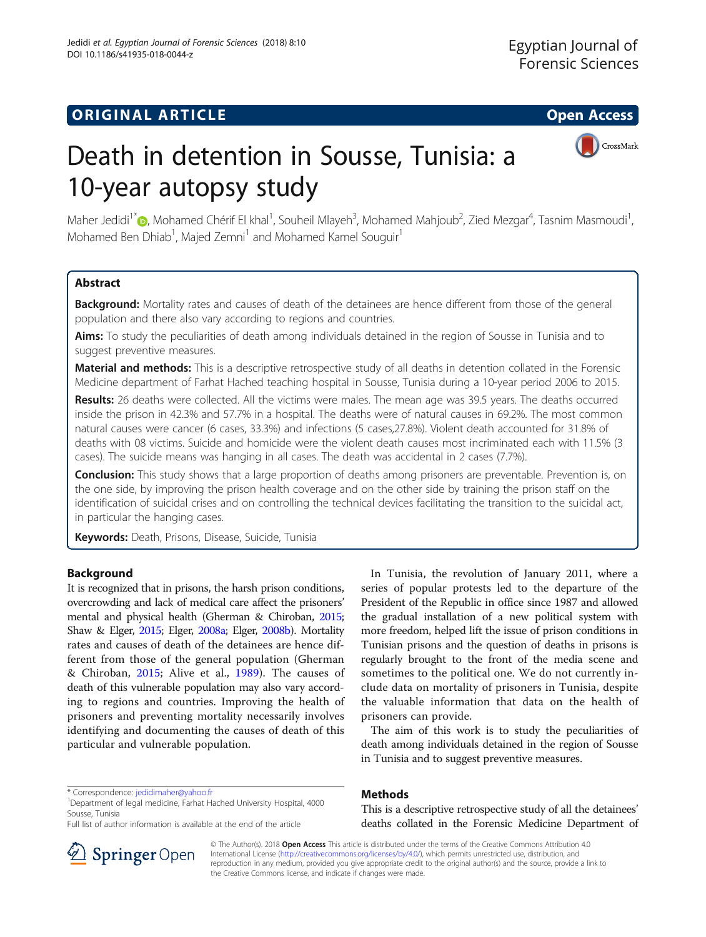# **ORIGINAL ARTICLE CONSERVERSITY OF ACCESS**



# Death in detention in Sousse, Tunisia: a 10-year autopsy study

Maher Jedidi<sup>1\*</sup>�[,](http://orcid.org/0000-0003-4788-9006) Mohamed Chérif El khal<sup>1</sup>, Souheil Mlayeh<sup>3</sup>, Mohamed Mahjoub<sup>2</sup>, Zied Mezgar<sup>4</sup>, Tasnim Masmoudi<sup>1</sup> , Mohamed Ben Dhiab<sup>1</sup>, Majed Zemni<sup>1</sup> and Mohamed Kamel Souguir<sup>1</sup>

# Abstract

Background: Mortality rates and causes of death of the detainees are hence different from those of the general population and there also vary according to regions and countries.

Aims: To study the peculiarities of death among individuals detained in the region of Sousse in Tunisia and to suggest preventive measures.

Material and methods: This is a descriptive retrospective study of all deaths in detention collated in the Forensic Medicine department of Farhat Hached teaching hospital in Sousse, Tunisia during a 10-year period 2006 to 2015.

Results: 26 deaths were collected. All the victims were males. The mean age was 39.5 years. The deaths occurred inside the prison in 42.3% and 57.7% in a hospital. The deaths were of natural causes in 69.2%. The most common natural causes were cancer (6 cases, 33.3%) and infections (5 cases,27.8%). Violent death accounted for 31.8% of deaths with 08 victims. Suicide and homicide were the violent death causes most incriminated each with 11.5% (3 cases). The suicide means was hanging in all cases. The death was accidental in 2 cases (7.7%).

**Conclusion:** This study shows that a large proportion of deaths among prisoners are preventable. Prevention is, on the one side, by improving the prison health coverage and on the other side by training the prison staff on the identification of suicidal crises and on controlling the technical devices facilitating the transition to the suicidal act, in particular the hanging cases.

Keywords: Death, Prisons, Disease, Suicide, Tunisia

# Background

It is recognized that in prisons, the harsh prison conditions, overcrowding and lack of medical care affect the prisoners' mental and physical health (Gherman & Chiroban, [2015](#page-3-0); Shaw & Elger, [2015](#page-3-0); Elger, [2008a](#page-3-0); Elger, [2008b](#page-3-0)). Mortality rates and causes of death of the detainees are hence different from those of the general population (Gherman & Chiroban, [2015](#page-3-0); Alive et al., [1989\)](#page-3-0). The causes of death of this vulnerable population may also vary according to regions and countries. Improving the health of prisoners and preventing mortality necessarily involves identifying and documenting the causes of death of this particular and vulnerable population.

\* Correspondence: [jedidimaher@yahoo.fr](mailto:jedidimaher@yahoo.fr) <sup>1</sup>

Department of legal medicine, Farhat Hached University Hospital, 4000 Sousse, Tunisia

Full list of author information is available at the end of the article

In Tunisia, the revolution of January 2011, where a series of popular protests led to the departure of the President of the Republic in office since 1987 and allowed the gradual installation of a new political system with more freedom, helped lift the issue of prison conditions in Tunisian prisons and the question of deaths in prisons is regularly brought to the front of the media scene and sometimes to the political one. We do not currently include data on mortality of prisoners in Tunisia, despite the valuable information that data on the health of prisoners can provide.

The aim of this work is to study the peculiarities of death among individuals detained in the region of Sousse in Tunisia and to suggest preventive measures.

# Methods

This is a descriptive retrospective study of all the detainees' deaths collated in the Forensic Medicine Department of



© The Author(s). 2018 Open Access This article is distributed under the terms of the Creative Commons Attribution 4.0 International License ([http://creativecommons.org/licenses/by/4.0/\)](http://creativecommons.org/licenses/by/4.0/), which permits unrestricted use, distribution, and reproduction in any medium, provided you give appropriate credit to the original author(s) and the source, provide a link to the Creative Commons license, and indicate if changes were made.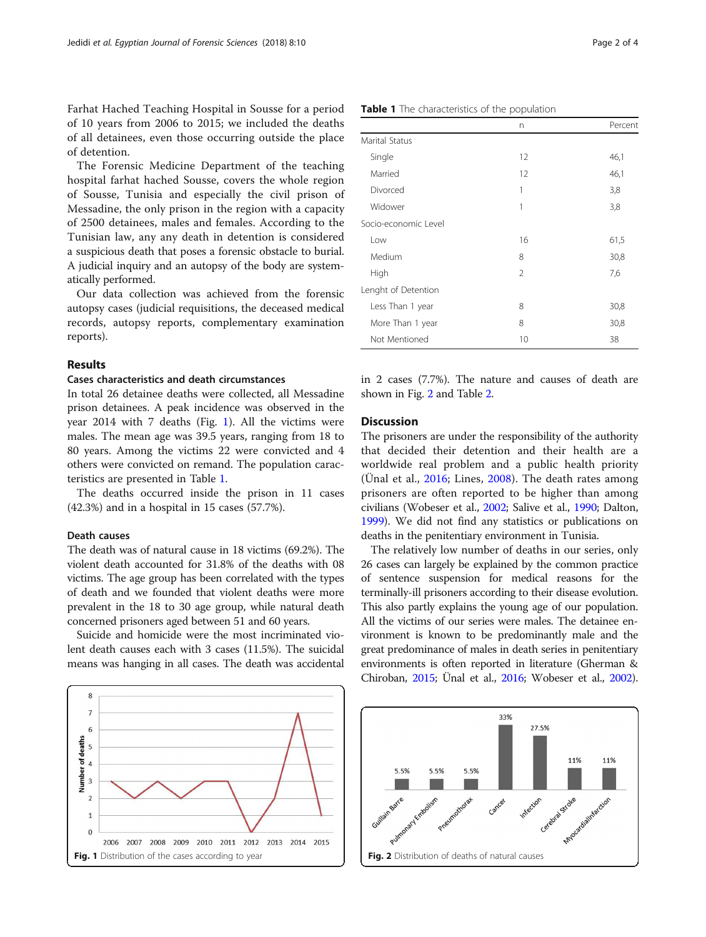Farhat Hached Teaching Hospital in Sousse for a period of 10 years from 2006 to 2015; we included the deaths of all detainees, even those occurring outside the place of detention.

The Forensic Medicine Department of the teaching hospital farhat hached Sousse, covers the whole region of Sousse, Tunisia and especially the civil prison of Messadine, the only prison in the region with a capacity of 2500 detainees, males and females. According to the Tunisian law, any any death in detention is considered a suspicious death that poses a forensic obstacle to burial. A judicial inquiry and an autopsy of the body are systematically performed.

Our data collection was achieved from the forensic autopsy cases (judicial requisitions, the deceased medical records, autopsy reports, complementary examination reports).

#### Results

#### Cases characteristics and death circumstances

In total 26 detainee deaths were collected, all Messadine prison detainees. A peak incidence was observed in the year 2014 with 7 deaths (Fig. 1). All the victims were males. The mean age was 39.5 years, ranging from 18 to 80 years. Among the victims 22 were convicted and 4 others were convicted on remand. The population caracteristics are presented in Table 1.

The deaths occurred inside the prison in 11 cases (42.3%) and in a hospital in 15 cases (57.7%).

# Death causes

The death was of natural cause in 18 victims (69.2%). The violent death accounted for 31.8% of the deaths with 08 victims. The age group has been correlated with the types of death and we founded that violent deaths were more prevalent in the 18 to 30 age group, while natural death concerned prisoners aged between 51 and 60 years.

Suicide and homicide were the most incriminated violent death causes each with 3 cases (11.5%). The suicidal means was hanging in all cases. The death was accidental



|                      | n              | Percent |
|----------------------|----------------|---------|
| Marital Status       |                |         |
| Single               | 12             | 46,1    |
| Married              | 12             | 46,1    |
| Divorced             | 1              | 3,8     |
| Widower              | 1              | 3,8     |
| Socio-economic Level |                |         |
| Low                  | 16             | 61,5    |
| Medium               | 8              | 30,8    |
| High                 | $\overline{2}$ | 7,6     |
| Lenght of Detention  |                |         |
| Less Than 1 year     | 8              | 30,8    |
| More Than 1 year     | 8              | 30,8    |
| Not Mentioned        | 10             | 38      |

in 2 cases (7.7%). The nature and causes of death are shown in Fig. 2 and Table [2.](#page-2-0)

## **Discussion**

The prisoners are under the responsibility of the authority that decided their detention and their health are a worldwide real problem and a public health priority (Ünal et al., [2016;](#page-3-0) Lines, [2008\)](#page-3-0). The death rates among prisoners are often reported to be higher than among civilians (Wobeser et al., [2002](#page-3-0); Salive et al., [1990;](#page-3-0) Dalton, [1999\)](#page-3-0). We did not find any statistics or publications on deaths in the penitentiary environment in Tunisia.

The relatively low number of deaths in our series, only 26 cases can largely be explained by the common practice of sentence suspension for medical reasons for the terminally-ill prisoners according to their disease evolution. This also partly explains the young age of our population. All the victims of our series were males. The detainee environment is known to be predominantly male and the great predominance of males in death series in penitentiary environments is often reported in literature (Gherman & Chiroban, [2015](#page-3-0); Ünal et al., [2016](#page-3-0); Wobeser et al., [2002](#page-3-0)).



#### Table 1 The characteristics of the population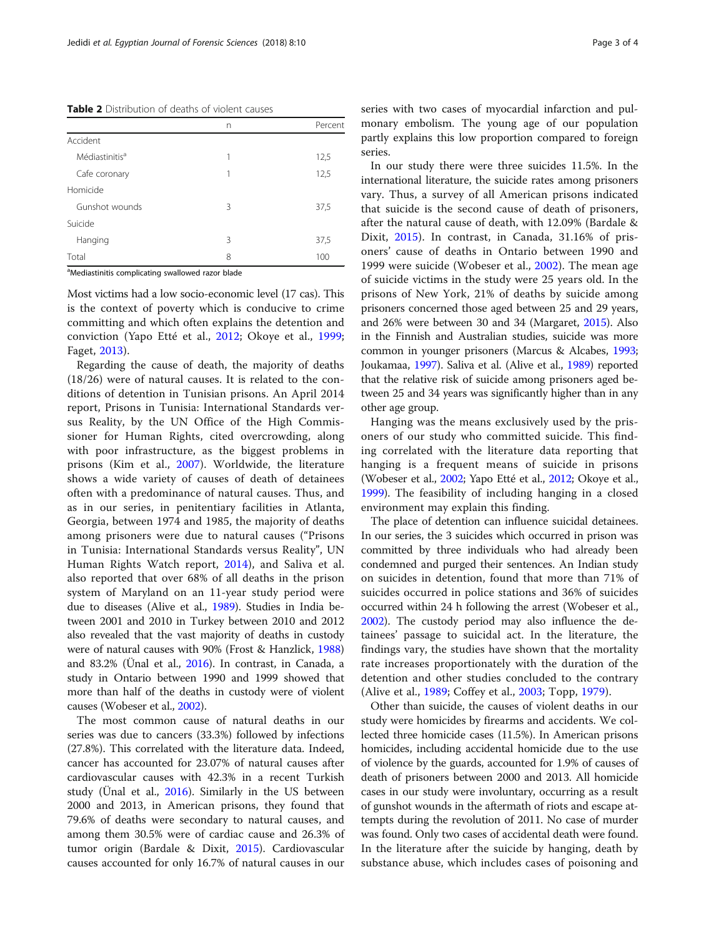<span id="page-2-0"></span>Table 2 Distribution of deaths of violent causes

|                            | n | Percent |
|----------------------------|---|---------|
| Accident                   |   |         |
| Médiastinitis <sup>a</sup> | 1 | 12,5    |
| Cafe coronary              | 1 | 12,5    |
| Homicide                   |   |         |
| Gunshot wounds             | 3 | 37,5    |
| Suicide                    |   |         |
| Hanging                    | 3 | 37,5    |
| Total                      | 8 | 100     |

<sup>a</sup>Mediastinitis complicating swallowed razor blade

Most victims had a low socio-economic level (17 cas). This is the context of poverty which is conducive to crime committing and which often explains the detention and conviction (Yapo Etté et al., [2012](#page-3-0); Okoye et al., [1999](#page-3-0); Faget, [2013\)](#page-3-0).

Regarding the cause of death, the majority of deaths (18/26) were of natural causes. It is related to the conditions of detention in Tunisian prisons. An April 2014 report, Prisons in Tunisia: International Standards versus Reality, by the UN Office of the High Commissioner for Human Rights, cited overcrowding, along with poor infrastructure, as the biggest problems in prisons (Kim et al., [2007\)](#page-3-0). Worldwide, the literature shows a wide variety of causes of death of detainees often with a predominance of natural causes. Thus, and as in our series, in penitentiary facilities in Atlanta, Georgia, between 1974 and 1985, the majority of deaths among prisoners were due to natural causes ("Prisons in Tunisia: International Standards versus Reality", UN Human Rights Watch report, [2014](#page-3-0)), and Saliva et al. also reported that over 68% of all deaths in the prison system of Maryland on an 11-year study period were due to diseases (Alive et al., [1989](#page-3-0)). Studies in India between 2001 and 2010 in Turkey between 2010 and 2012 also revealed that the vast majority of deaths in custody were of natural causes with 90% (Frost & Hanzlick, [1988](#page-3-0)) and 83.2% (Ünal et al., [2016](#page-3-0)). In contrast, in Canada, a study in Ontario between 1990 and 1999 showed that more than half of the deaths in custody were of violent causes (Wobeser et al., [2002](#page-3-0)).

The most common cause of natural deaths in our series was due to cancers (33.3%) followed by infections (27.8%). This correlated with the literature data. Indeed, cancer has accounted for 23.07% of natural causes after cardiovascular causes with 42.3% in a recent Turkish study (Ünal et al., [2016\)](#page-3-0). Similarly in the US between 2000 and 2013, in American prisons, they found that 79.6% of deaths were secondary to natural causes, and among them 30.5% were of cardiac cause and 26.3% of tumor origin (Bardale & Dixit, [2015\)](#page-3-0). Cardiovascular causes accounted for only 16.7% of natural causes in our series with two cases of myocardial infarction and pulmonary embolism. The young age of our population partly explains this low proportion compared to foreign series.

In our study there were three suicides 11.5%. In the international literature, the suicide rates among prisoners vary. Thus, a survey of all American prisons indicated that suicide is the second cause of death of prisoners, after the natural cause of death, with 12.09% (Bardale & Dixit, [2015\)](#page-3-0). In contrast, in Canada, 31.16% of prisoners' cause of deaths in Ontario between 1990 and 1999 were suicide (Wobeser et al., [2002](#page-3-0)). The mean age of suicide victims in the study were 25 years old. In the prisons of New York, 21% of deaths by suicide among prisoners concerned those aged between 25 and 29 years, and 26% were between 30 and 34 (Margaret, [2015\)](#page-3-0). Also in the Finnish and Australian studies, suicide was more common in younger prisoners (Marcus & Alcabes, [1993](#page-3-0); Joukamaa, [1997\)](#page-3-0). Saliva et al. (Alive et al., [1989\)](#page-3-0) reported that the relative risk of suicide among prisoners aged between 25 and 34 years was significantly higher than in any other age group.

Hanging was the means exclusively used by the prisoners of our study who committed suicide. This finding correlated with the literature data reporting that hanging is a frequent means of suicide in prisons (Wobeser et al., [2002;](#page-3-0) Yapo Etté et al., [2012](#page-3-0); Okoye et al., [1999\)](#page-3-0). The feasibility of including hanging in a closed environment may explain this finding.

The place of detention can influence suicidal detainees. In our series, the 3 suicides which occurred in prison was committed by three individuals who had already been condemned and purged their sentences. An Indian study on suicides in detention, found that more than 71% of suicides occurred in police stations and 36% of suicides occurred within 24 h following the arrest (Wobeser et al., [2002\)](#page-3-0). The custody period may also influence the detainees' passage to suicidal act. In the literature, the findings vary, the studies have shown that the mortality rate increases proportionately with the duration of the detention and other studies concluded to the contrary (Alive et al., [1989;](#page-3-0) Coffey et al., [2003;](#page-3-0) Topp, [1979\)](#page-3-0).

Other than suicide, the causes of violent deaths in our study were homicides by firearms and accidents. We collected three homicide cases (11.5%). In American prisons homicides, including accidental homicide due to the use of violence by the guards, accounted for 1.9% of causes of death of prisoners between 2000 and 2013. All homicide cases in our study were involuntary, occurring as a result of gunshot wounds in the aftermath of riots and escape attempts during the revolution of 2011. No case of murder was found. Only two cases of accidental death were found. In the literature after the suicide by hanging, death by substance abuse, which includes cases of poisoning and